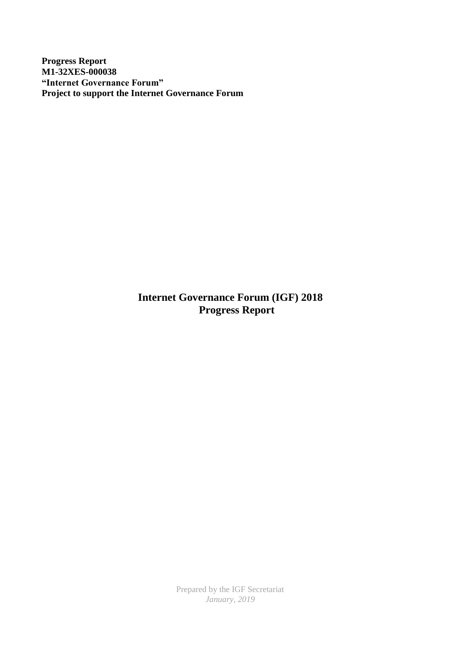**Progress Report M1-32XES-000038 "Internet Governance Forum" Project to support the Internet Governance Forum**

> **Internet Governance Forum (IGF) 2018 Progress Report**

> > Prepared by the IGF Secretariat *January, 2019*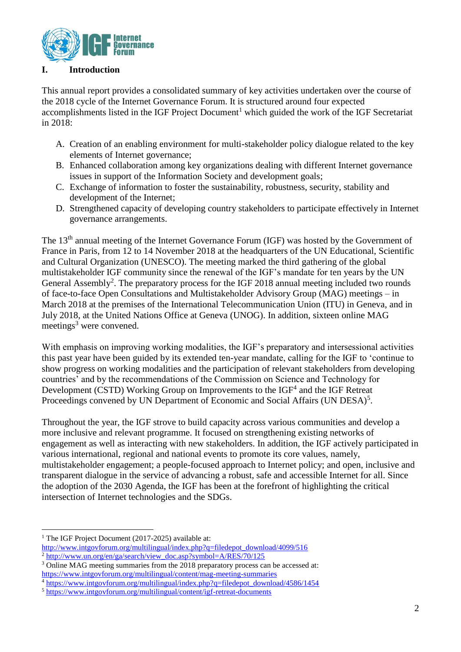

#### **I. Introduction**

This annual report provides a consolidated summary of key activities undertaken over the course of the 2018 cycle of the Internet Governance Forum. It is structured around four expected accomplishments listed in the IGF Project Document<sup>1</sup> which guided the work of the IGF Secretariat in 2018:

- A. Creation of an enabling environment for multi-stakeholder policy dialogue related to the key elements of Internet governance;
- B. Enhanced collaboration among key organizations dealing with different Internet governance issues in support of the Information Society and development goals;
- C. Exchange of information to foster the sustainability, robustness, security, stability and development of the Internet;
- D. Strengthened capacity of developing country stakeholders to participate effectively in Internet governance arrangements.

The 13<sup>th</sup> annual meeting of the Internet Governance Forum (IGF) was hosted by the Government of France in Paris, from 12 to 14 November 2018 at the headquarters of the UN Educational, Scientific and Cultural Organization (UNESCO). The meeting marked the third gathering of the global multistakeholder IGF community since the renewal of the IGF's mandate for ten years by the UN General Assembly<sup>2</sup>. The preparatory process for the IGF 2018 annual meeting included two rounds of face-to-face Open Consultations and Multistakeholder Advisory Group (MAG) meetings – in March 2018 at the premises of the International Telecommunication Union (ITU) in Geneva, and in July 2018, at the United Nations Office at Geneva (UNOG). In addition, sixteen online MAG meetings<sup>3</sup> were convened.

With emphasis on improving working modalities, the IGF's preparatory and intersessional activities this past year have been guided by its extended ten-year mandate, calling for the IGF to 'continue to show progress on working modalities and the participation of relevant stakeholders from developing countries' and by the recommendations of the Commission on Science and Technology for Development (CSTD) Working Group on Improvements to the  $IGF<sup>4</sup>$  and the IGF Retreat Proceedings convened by UN Department of Economic and Social Affairs (UN DESA)<sup>5</sup>.

Throughout the year, the IGF strove to build capacity across various communities and develop a more inclusive and relevant programme. It focused on strengthening existing networks of engagement as well as interacting with new stakeholders. In addition, the IGF actively participated in various international, regional and national events to promote its core values, namely, multistakeholder engagement; a people-focused approach to Internet policy; and open, inclusive and transparent dialogue in the service of advancing a robust, safe and accessible Internet for all. Since the adoption of the 2030 Agenda, the IGF has been at the forefront of highlighting the critical intersection of Internet technologies and the SDGs.

<sup>&</sup>lt;sup>1</sup> The IGF Project Document (2017-2025) available at:

[http://www.intgovforum.org/multilingual/index.php?q=filedepot\\_download/4099/516](http://www.intgovforum.org/multilingual/index.php?q=filedepot_download/4099/516) <sup>2</sup> [http://www.un.org/en/ga/search/view\\_doc.asp?symbol=A/RES/70/125](http://www.un.org/en/ga/search/view_doc.asp?symbol=A/RES/70/125)

<sup>3</sup> Online MAG meeting summaries from the 2018 preparatory process can be accessed at: <https://www.intgovforum.org/multilingual/content/mag-meeting-summaries>

<sup>4</sup> [https://www.intgovforum.org/multilingual/index.php?q=filedepot\\_download/4586/1454](https://www.intgovforum.org/multilingual/index.php?q=filedepot_download/4586/1454)

<sup>5</sup> <https://www.intgovforum.org/multilingual/content/igf-retreat-documents>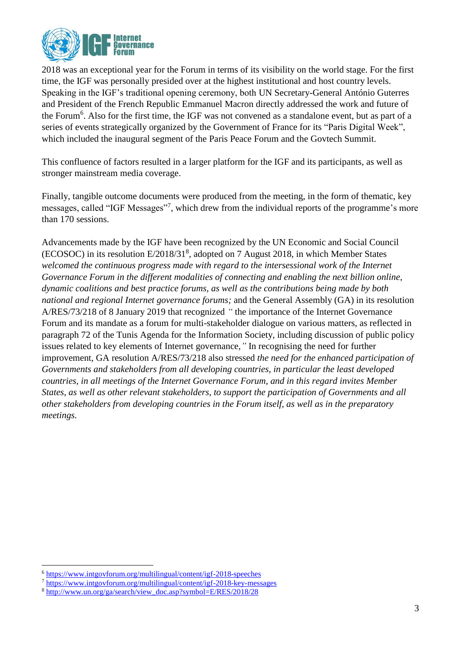

2018 was an exceptional year for the Forum in terms of its visibility on the world stage. For the first time, the IGF was personally presided over at the highest institutional and host country levels. Speaking in the IGF's traditional opening ceremony, both UN Secretary-General António Guterres and President of the French Republic Emmanuel Macron directly addressed the work and future of the Forum<sup>6</sup>. Also for the first time, the IGF was not convened as a standalone event, but as part of a series of events strategically organized by the Government of France for its "Paris Digital Week", which included the inaugural segment of the Paris Peace Forum and the Govtech Summit.

This confluence of factors resulted in a larger platform for the IGF and its participants, as well as stronger mainstream media coverage.

Finally, tangible outcome documents were produced from the meeting, in the form of thematic, key messages, called "IGF Messages"<sup>7</sup>, which drew from the individual reports of the programme's more than 170 sessions.

Advancements made by the IGF have been recognized by the UN Economic and Social Council (ECOSOC) in its resolution E/2018/31<sup>8</sup>, adopted on 7 August 2018, in which Member States *welcomed the continuous progress made with regard to the intersessional work of the Internet Governance Forum in the different modalities of connecting and enabling the next billion online, dynamic coalitions and best practice forums, as well as the contributions being made by both national and regional Internet governance forums;* and the General Assembly (GA) in its resolution A/RES/73/218 of 8 January 2019 that recognized *"* the importance of the Internet Governance Forum and its mandate as a forum for multi-stakeholder dialogue on various matters, as reflected in paragraph 72 of the Tunis Agenda for the Information Society, including discussion of public policy issues related to key elements of Internet governance,*"* In recognising the need for further improvement, GA resolution A/RES/73/218 also stressed *the need for the enhanced participation of Governments and stakeholders from all developing countries, in particular the least developed countries, in all meetings of the Internet Governance Forum, and in this regard invites Member States, as well as other relevant stakeholders, to support the participation of Governments and all other stakeholders from developing countries in the Forum itself, as well as in the preparatory meetings.*

<sup>6</sup> <https://www.intgovforum.org/multilingual/content/igf-2018-speeches>

<sup>7</sup> <https://www.intgovforum.org/multilingual/content/igf-2018-key-messages>

<sup>8</sup> [http://www.un.org/ga/search/view\\_doc.asp?symbol=E/RES/2018/28](http://www.un.org/ga/search/view_doc.asp?symbol=E/RES/2018/28)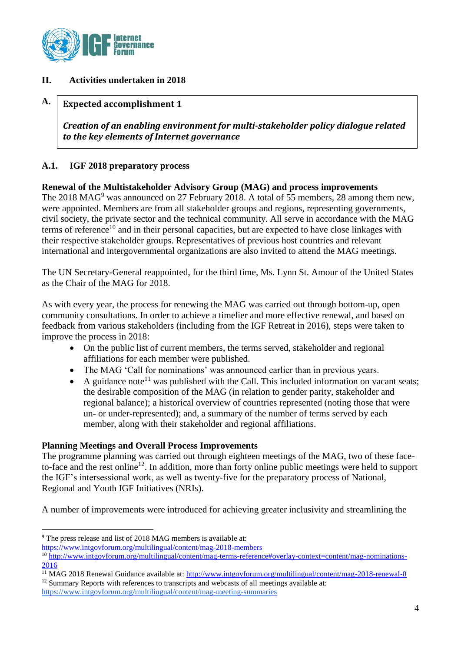

# **II. Activities undertaken in 2018**

#### **A. Expected accomplishment 1**

*Creation of an enabling environment for multi-stakeholder policy dialogue related to the key elements of Internet governance*

# **A.1. IGF 2018 preparatory process**

**Renewal of the Multistakeholder Advisory Group (MAG) and process improvements** The 2018 MAG<sup>9</sup> was announced on 27 February 2018. A total of 55 members, 28 among them new, were appointed. Members are from all stakeholder groups and regions, representing governments, civil society, the private sector and the technical community. All serve in accordance with the MAG terms of reference<sup>10</sup> and in their personal capacities, but are expected to have close linkages with their respective stakeholder groups. Representatives of previous host countries and relevant international and intergovernmental organizations are also invited to attend the MAG meetings.

The UN Secretary-General reappointed, for the third time, Ms. Lynn St. Amour of the United States as the Chair of the MAG for 2018.

As with every year, the process for renewing the MAG was carried out through bottom-up, open community consultations. In order to achieve a timelier and more effective renewal, and based on feedback from various stakeholders (including from the IGF Retreat in 2016), steps were taken to improve the process in 2018:

- On the public list of current members, the terms served, stakeholder and regional affiliations for each member were published.
- The MAG 'Call for nominations' was announced earlier than in previous years.
- A guidance note<sup>11</sup> was published with the Call. This included information on vacant seats; the desirable composition of the MAG (in relation to gender parity, stakeholder and regional balance); a historical overview of countries represented (noting those that were un- or under-represented); and, a summary of the number of terms served by each member, along with their stakeholder and regional affiliations.

### **Planning Meetings and Overall Process Improvements**

The programme planning was carried out through eighteen meetings of the MAG, two of these faceto-face and the rest online<sup>12</sup>. In addition, more than forty online public meetings were held to support the IGF's intersessional work, as well as twenty-five for the preparatory process of National, Regional and Youth IGF Initiatives (NRIs).

A number of improvements were introduced for achieving greater inclusivity and streamlining the

<sup>1</sup> <sup>9</sup> The press release and list of 2018 MAG members is available at:

<https://www.intgovforum.org/multilingual/content/mag-2018-members>

<sup>&</sup>lt;sup>10</sup> http://www.intgovforum.org/multilingual/<u>content/mag-terms-reference#overlay-context=content/mag-nominations-</u> [2016](http://www.intgovforum.org/multilingual/content/mag-terms-reference#overlay-context=content/mag-nominations-2016)

<sup>&</sup>lt;sup>11</sup> MAG 2018 Renewal Guidance available at[: http://www.intgovforum.org/multilingual/content/mag-2018-renewal-0](http://www.intgovforum.org/multilingual/content/mag-2018-renewal-0)

<sup>&</sup>lt;sup>12</sup> Summary Reports with references to transcripts and webcasts of all meetings available at:

<https://www.intgovforum.org/multilingual/content/mag-meeting-summaries>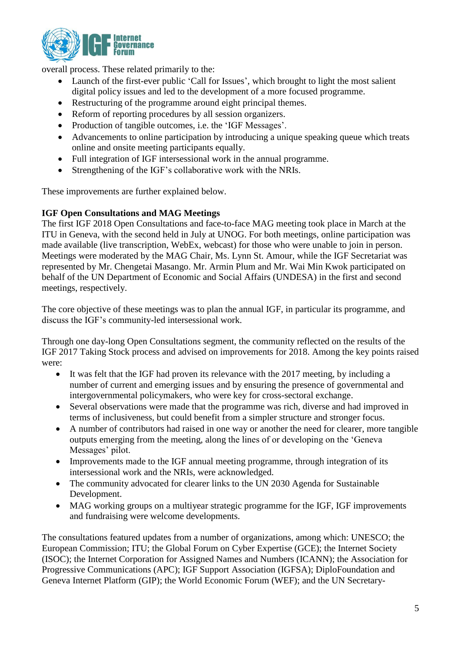

overall process. These related primarily to the:

- Launch of the first-ever public 'Call for Issues', which brought to light the most salient digital policy issues and led to the development of a more focused programme.
- Restructuring of the programme around eight principal themes.
- Reform of reporting procedures by all session organizers.
- Production of tangible outcomes, i.e. the 'IGF Messages'.
- Advancements to online participation by introducing a unique speaking queue which treats online and onsite meeting participants equally.
- Full integration of IGF intersessional work in the annual programme.
- Strengthening of the IGF's collaborative work with the NRIs.

These improvements are further explained below.

#### **IGF Open Consultations and MAG Meetings**

The first IGF 2018 Open Consultations and face-to-face MAG meeting took place in March at the ITU in Geneva, with the second held in July at UNOG. For both meetings, online participation was made available (live transcription, WebEx, webcast) for those who were unable to join in person. Meetings were moderated by the MAG Chair, Ms. Lynn St. Amour, while the IGF Secretariat was represented by Mr. Chengetai Masango. Mr. Armin Plum and Mr. Wai Min Kwok participated on behalf of the UN Department of Economic and Social Affairs (UNDESA) in the first and second meetings, respectively.

The core objective of these meetings was to plan the annual IGF, in particular its programme, and discuss the IGF's community-led intersessional work.

Through one day-long Open Consultations segment, the community reflected on the results of the IGF 2017 Taking Stock process and advised on improvements for 2018. Among the key points raised were:

- It was felt that the IGF had proven its relevance with the 2017 meeting, by including a number of current and emerging issues and by ensuring the presence of governmental and intergovernmental policymakers, who were key for cross-sectoral exchange.
- Several observations were made that the programme was rich, diverse and had improved in terms of inclusiveness, but could benefit from a simpler structure and stronger focus.
- A number of contributors had raised in one way or another the need for clearer, more tangible outputs emerging from the meeting, along the lines of or developing on the 'Geneva Messages' pilot.
- Improvements made to the IGF annual meeting programme, through integration of its intersessional work and the NRIs, were acknowledged.
- The community advocated for clearer links to the UN 2030 Agenda for Sustainable Development.
- MAG working groups on a multiyear strategic programme for the IGF, IGF improvements and fundraising were welcome developments.

The consultations featured updates from a number of organizations, among which: UNESCO; the European Commission; ITU; the Global Forum on Cyber Expertise (GCE); the Internet Society (ISOC); the Internet Corporation for Assigned Names and Numbers (ICANN); the Association for Progressive Communications (APC); IGF Support Association (IGFSA); DiploFoundation and Geneva Internet Platform (GIP); the World Economic Forum (WEF); and the UN Secretary-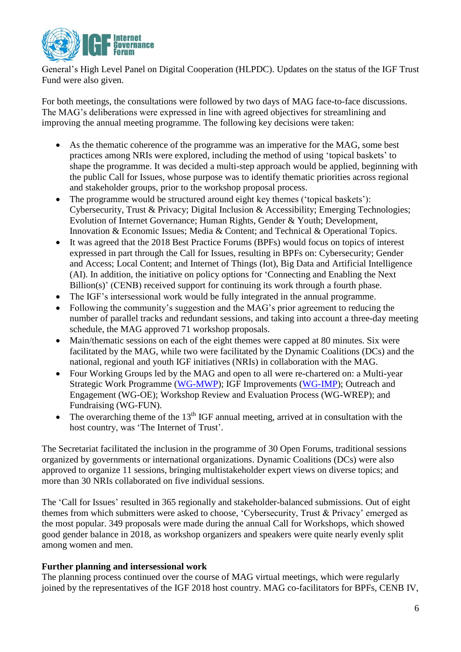

General's High Level Panel on Digital Cooperation (HLPDC). Updates on the status of the IGF Trust Fund were also given.

For both meetings, the consultations were followed by two days of MAG face-to-face discussions. The MAG's deliberations were expressed in line with agreed objectives for streamlining and improving the annual meeting programme. The following key decisions were taken:

- As the thematic coherence of the programme was an imperative for the MAG, some best practices among NRIs were explored, including the method of using 'topical baskets' to shape the programme. It was decided a multi-step approach would be applied, beginning with the public Call for Issues, whose purpose was to identify thematic priorities across regional and stakeholder groups, prior to the workshop proposal process.
- The programme would be structured around eight key themes ('topical baskets'): Cybersecurity, Trust & Privacy; Digital Inclusion & Accessibility; Emerging Technologies; Evolution of Internet Governance; Human Rights, Gender & Youth; Development, Innovation & Economic Issues; Media & Content; and Technical & Operational Topics.
- It was agreed that the 2018 Best Practice Forums (BPFs) would focus on topics of interest expressed in part through the Call for Issues, resulting in BPFs on: Cybersecurity; Gender and Access; Local Content; and Internet of Things (Iot), Big Data and Artificial Intelligence (AI). In addition, the initiative on policy options for 'Connecting and Enabling the Next Billion(s)' (CENB) received support for continuing its work through a fourth phase.
- The IGF's intersessional work would be fully integrated in the annual programme.
- Following the community's suggestion and the MAG's prior agreement to reducing the number of parallel tracks and redundant sessions, and taking into account a three-day meeting schedule, the MAG approved 71 workshop proposals.
- Main/thematic sessions on each of the eight themes were capped at 80 minutes. Six were facilitated by the MAG, while two were facilitated by the Dynamic Coalitions (DCs) and the national, regional and youth IGF initiatives (NRIs) in collaboration with the MAG.
- Four Working Groups led by the MAG and open to all were re-chartered on: a Multi-year Strategic Work Programme [\(WG-MWP\)](https://www.intgovforum.org/multilingual/content/working-group-on-multi-year-strategic-work-programme-wg-mwp); IGF Improvements [\(WG-IMP\)](https://www.intgovforum.org/multilingual/content/working-group-on-igf-improvements-wg-imp); [Outreach and](https://www.intgovforum.org/multilingual/content/working-group-on-outreach-and-engagement-wg-oe-0)  [Engagement \(WG-OE\);](https://www.intgovforum.org/multilingual/content/working-group-on-outreach-and-engagement-wg-oe-0) [Workshop Review and Evaluation Process \(WG-WREP\);](https://www.intgovforum.org/multilingual/content/working-group-on-workshop-review-and-evaluation-process-wg-wrep) and Fundraising (WG-FUN).
- The overarching theme of the  $13<sup>th</sup> IGF$  annual meeting, arrived at in consultation with the host country, was 'The Internet of Trust'.

The Secretariat facilitated the inclusion in the programme of 30 Open Forums, traditional sessions organized by governments or international organizations. Dynamic Coalitions (DCs) were also approved to organize 11 sessions, bringing multistakeholder expert views on diverse topics; and more than 30 NRIs collaborated on five individual sessions.

The 'Call for Issues' resulted in 365 regionally and stakeholder-balanced submissions. Out of eight themes from which submitters were asked to choose, 'Cybersecurity, Trust & Privacy' emerged as the most popular. 349 proposals were made during the annual Call for Workshops, which showed good gender balance in 2018, as workshop organizers and speakers were quite nearly evenly split among women and men.

### **Further planning and intersessional work**

The planning process continued over the course of MAG virtual meetings, which were regularly joined by the representatives of the IGF 2018 host country. MAG co-facilitators for BPFs, CENB IV,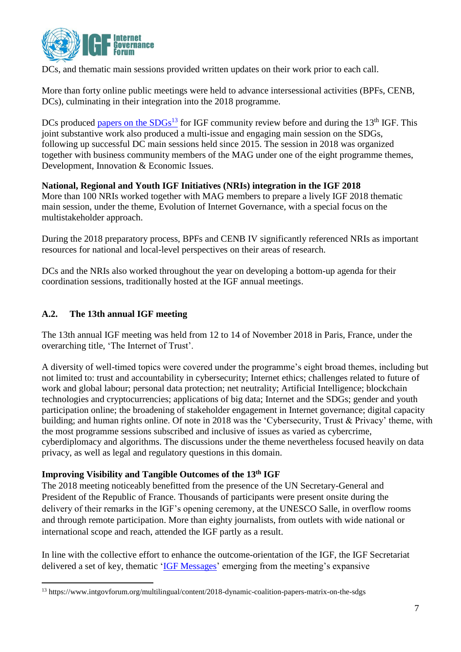

DCs, and thematic main sessions provided written updates on their work prior to each call.

More than forty online public meetings were held to advance intersessional activities (BPFs, CENB, DCs), culminating in their integration into the 2018 programme.

DCs produced papers on the  $SDGs^{13}$  for IGF community review before and during the 13<sup>th</sup> IGF. This joint substantive work also produced a multi-issue and engaging main session on the SDGs, following up successful DC main sessions held since 2015. The session in 2018 was organized together with business community members of the MAG under one of the eight programme themes, Development, Innovation & Economic Issues.

# **National, Regional and Youth IGF Initiatives (NRIs) integration in the IGF 2018**

More than 100 NRIs worked together with MAG members to prepare a lively IGF 2018 thematic main session, under the theme, Evolution of Internet Governance, with a special focus on the multistakeholder approach.

During the 2018 preparatory process, BPFs and CENB IV significantly referenced NRIs as important resources for national and local-level perspectives on their areas of research.

DCs and the NRIs also worked throughout the year on developing a bottom-up agenda for their coordination sessions, traditionally hosted at the IGF annual meetings.

# **A.2. The 13th annual IGF meeting**

1

The 13th annual IGF meeting was held from 12 to 14 of November 2018 in Paris, France, under the overarching title, 'The Internet of Trust'.

A diversity of well-timed topics were covered under the programme's eight broad themes, including but not limited to: trust and accountability in cybersecurity; Internet ethics; challenges related to future of work and global labour; personal data protection; net neutrality; Artificial Intelligence; blockchain technologies and cryptocurrencies; applications of big data; Internet and the SDGs; gender and youth participation online; the broadening of stakeholder engagement in Internet governance; digital capacity building; and human rights online. Of note in 2018 was the 'Cybersecurity, Trust & Privacy' theme, with the most programme sessions subscribed and inclusive of issues as varied as cybercrime, cyberdiplomacy and algorithms. The discussions under the theme nevertheless focused heavily on data privacy, as well as legal and regulatory questions in this domain.

# **Improving Visibility and Tangible Outcomes of the 13th IGF**

The 2018 meeting noticeably benefitted from the presence of the UN Secretary-General and President of the Republic of France. Thousands of participants were present onsite during the delivery of their remarks in the IGF's opening ceremony, at the UNESCO Salle, in overflow rooms and through remote participation. More than eighty journalists, from outlets with wide national or international scope and reach, attended the IGF partly as a result.

In line with the collective effort to enhance the outcome-orientation of the IGF, the IGF Secretariat delivered a set of key, thematic ['IGF Messages'](https://www.intgovforum.org/multilingual/content/igf-2018-key-messages) emerging from the meeting's expansive

<sup>13</sup> https://www.intgovforum.org/multilingual/content/2018-dynamic-coalition-papers-matrix-on-the-sdgs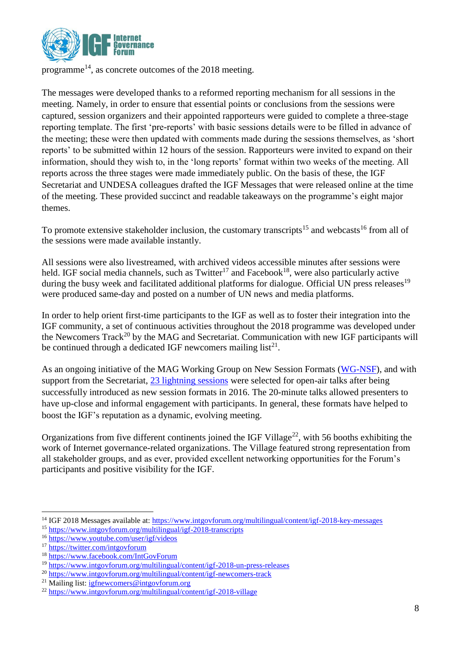

programme<sup>[14](http://www.intgovforum.org/cms)</sup>, as concrete outcomes of the  $2018$  meeting.

The messages were developed thanks to a reformed reporting mechanism for all sessions in the meeting. Namely, in order to ensure that essential points or conclusions from the sessions were captured, session organizers and their appointed rapporteurs were guided to complete a three-stage reporting template. The first 'pre-reports' with basic sessions details were to be filled in advance of the meeting; these were then updated with comments made during the sessions themselves, as 'short reports' to be submitted within 12 hours of the session. Rapporteurs were invited to expand on their information, should they wish to, in the 'long reports' format within two weeks of the meeting. All reports across the three stages were made immediately public. On the basis of these, the IGF Secretariat and UNDESA colleagues drafted the IGF Messages that were released online at the time of the meeting. These provided succinct and readable takeaways on the programme's eight major themes.

To promote extensive stakeholder inclusion, the customary transcripts<sup>15</sup> and webcasts<sup>16</sup> from all of the sessions were made available instantly.

All sessions were also livestreamed, with archived videos accessible minutes after sessions were held. IGF social media channels, such as  $Twitter<sup>17</sup>$  and Facebook<sup>18</sup>, were also particularly active during the busy week and facilitated additional platforms for dialogue. Official UN press releases<sup>19</sup> were produced same-day and posted on a number of UN news and media platforms.

In order to help orient first-time participants to the IGF as well as to foster their integration into the IGF community, a set of continuous activities throughout the 2018 programme was developed under the Newcomers Track<sup>20</sup> by the MAG and Secretariat. Communication with new IGF participants will be continued through a dedicated IGF newcomers mailing  $list^{21}$ .

As an ongoing initiative of the MAG Working Group on New Session Formats [\(WG-NSF\)](https://www.intgovforum.org/multilingual/content/mag-working-groups), and with support from the Secretariat, 23 [lightning sessions](https://www.intgovforum.org/multilingual/igf-2018-schedule/2018-11-12?type%5B%5D=lightning_session) were selected for open-air talks after being successfully introduced as new session formats in 2016. The 20-minute talks allowed presenters to have up-close and informal engagement with participants. In general, these formats have helped to boost the IGF's reputation as a dynamic, evolving meeting.

Organizations from five different continents joined the IGF Village<sup>22</sup>, with 56 booths exhibiting the work of Internet governance-related organizations. The Village featured strong representation from all stakeholder groups, and as ever, provided excellent networking opportunities for the Forum's participants and positive visibility for the IGF.

<sup>&</sup>lt;sup>14</sup> IGF 2018 Messages available at:<https://www.intgovforum.org/multilingual/content/igf-2018-key-messages>

<sup>15</sup> <https://www.intgovforum.org/multilingual/igf-2018-transcripts>

<sup>16</sup> <https://www.youtube.com/user/igf/videos>

<sup>&</sup>lt;sup>17</sup> <https://twitter.com/intgovforum>

<sup>18</sup> <https://www.facebook.com/IntGovForum>

<sup>19</sup> <https://www.intgovforum.org/multilingual/content/igf-2018-un-press-releases>

<sup>20</sup> <https://www.intgovforum.org/multilingual/content/igf-newcomers-track>

<sup>&</sup>lt;sup>21</sup> Mailing list[: igfnewcomers@intgovforum.org](mailto:igfnewcomers@intgovforum.org)

<sup>22</sup> <https://www.intgovforum.org/multilingual/content/igf-2018-village>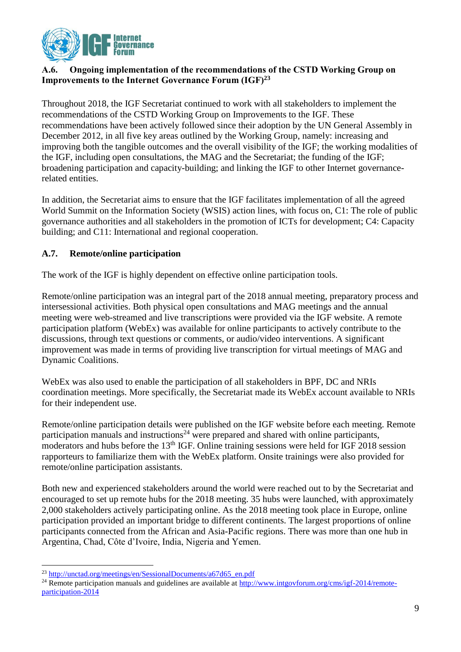

# **A.6. Ongoing implementation of the recommendations of the CSTD Working Group on Improvements to the Internet Governance Forum (IGF)<sup>23</sup>**

Throughout 2018, the IGF Secretariat continued to work with all stakeholders to implement the recommendations of the CSTD Working Group on Improvements to the IGF. These recommendations have been actively followed since their adoption by the UN General Assembly in December 2012, in all five key areas outlined by the Working Group, namely: increasing and improving both the tangible outcomes and the overall visibility of the IGF; the working modalities of the IGF, including open consultations, the MAG and the Secretariat; the funding of the IGF; broadening participation and capacity-building; and linking the IGF to other Internet governancerelated entities.

In addition, the Secretariat aims to ensure that the IGF facilitates implementation of all the agreed World Summit on the Information Society (WSIS) action lines, with focus on, C1: The role of public governance authorities and all stakeholders in the promotion of ICTs for development; C4: Capacity building; and C11: International and regional cooperation.

# **A.7. Remote/online participation**

The work of the IGF is highly dependent on effective online participation tools.

Remote/online participation was an integral part of the 2018 annual meeting, preparatory process and intersessional activities. Both physical open consultations and MAG meetings and the annual meeting were web-streamed and live transcriptions were provided via the IGF website. A remote participation platform (WebEx) was available for online participants to actively contribute to the discussions, through text questions or comments, or audio/video interventions. A significant improvement was made in terms of providing live transcription for virtual meetings of MAG and Dynamic Coalitions.

WebEx was also used to enable the participation of all stakeholders in BPF, DC and NRIs coordination meetings. More specifically, the Secretariat made its WebEx account available to NRIs for their independent use.

Remote/online participation details were published on the IGF website before each meeting. Remote participation manuals and instructions<sup>24</sup> were prepared and shared with online participants, moderators and hubs before the  $13<sup>th</sup> IGF$ . Online training sessions were held for IGF 2018 session rapporteurs to familiarize them with the WebEx platform. Onsite trainings were also provided for remote/online participation assistants.

Both new and experienced stakeholders around the world were reached out to by the Secretariat and encouraged to set up remote hubs for the 2018 meeting. 35 hubs were launched, with approximately 2,000 stakeholders actively participating online. As the 2018 meeting took place in Europe, online participation provided an important bridge to different continents. The largest proportions of online participants connected from the African and Asia-Pacific regions. There was more than one hub in Argentina, Chad, Côte d'Ivoire, India, Nigeria and Yemen.

<sup>23</sup> [http://unctad.org/meetings/en/SessionalDocuments/a67d65\\_en.pdf](http://unctad.org/meetings/en/SessionalDocuments/a67d65_en.pdf)

<sup>&</sup>lt;sup>24</sup> Remote participation manuals and guidelines are available at [http://www.intgovforum.org/cms/igf-2014/remote](http://www.intgovforum.org/cms/igf-2014/remote-participation-2014)[participation-2014](http://www.intgovforum.org/cms/igf-2014/remote-participation-2014)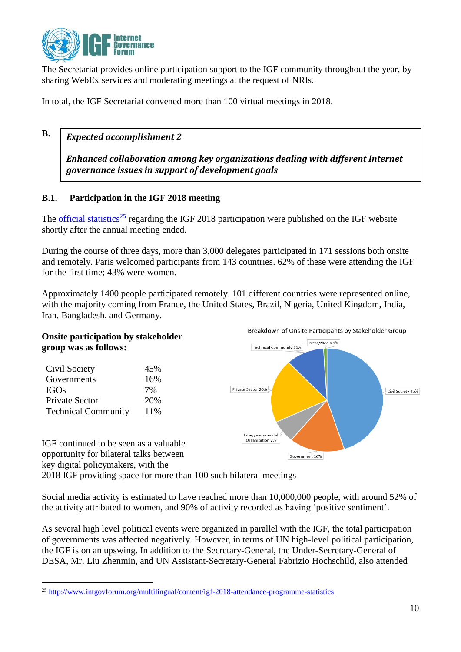

The Secretariat provides online participation support to the IGF community throughout the year, by sharing WebEx services and moderating meetings at the request of NRIs.

In total, the IGF Secretariat convened more than 100 virtual meetings in 2018.

#### **B.** *Expected accomplishment 2*

*Enhanced collaboration among key organizations dealing with different Internet governance issues in support of development goals*

# **B.1. Participation in the IGF 2018 meeting**

The [official statistics](https://www.intgovforum.org/multilingual/content/igf-2018-attendance-programme-statistics)<sup>25</sup> regarding the IGF 2018 participation were published on the IGF website shortly after the annual meeting ended.

During the course of three days, more than 3,000 delegates participated in 171 sessions both onsite and remotely. Paris welcomed participants from 143 countries. 62% of these were attending the IGF for the first time; 43% were women.

Approximately 1400 people participated remotely. 101 different countries were represented online, with the majority coming from France, the United States, Brazil, Nigeria, United Kingdom, India, Iran, Bangladesh, and Germany.



key digital policymakers, with the 2018 IGF providing space for more than 100 such bilateral meetings

Social media activity is estimated to have reached more than 10,000,000 people, with around 52% of the activity attributed to women, and 90% of activity recorded as having 'positive sentiment'.

As several high level political events were organized in parallel with the IGF, the total participation of governments was affected negatively. However, in terms of UN high-level political participation, the IGF is on an upswing. In addition to the Secretary-General, the Under-Secretary-General of DESA, Mr. Liu Zhenmin, and UN Assistant-Secretary-General Fabrizio Hochschild, also attended

<sup>1</sup> <sup>25</sup> <http://www.intgovforum.org/multilingual/content/igf-2018-attendance-programme-statistics>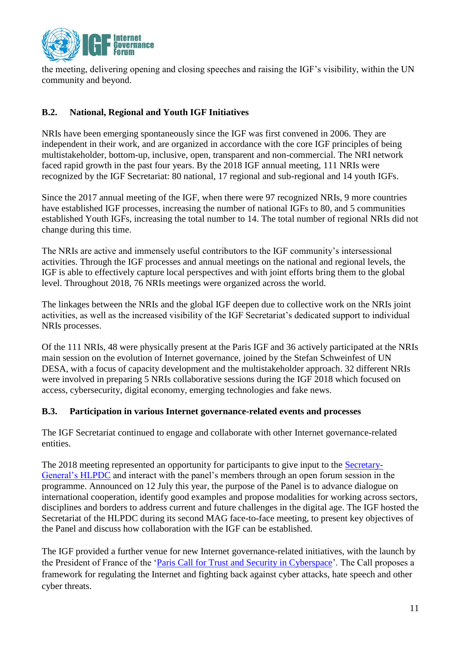

the meeting, delivering opening and closing speeches and raising the IGF's visibility, within the UN community and beyond.

# **B.2. National, Regional and Youth IGF Initiatives**

NRIs have been emerging spontaneously since the IGF was first convened in 2006. They are independent in their work, and are organized in accordance with the core IGF principles of being multistakeholder, bottom-up, inclusive, open, transparent and non-commercial. The NRI network faced rapid growth in the past four years. By the 2018 IGF annual meeting, 111 NRIs were recognized by the IGF Secretariat: 80 national, 17 regional and sub-regional and 14 youth IGFs.

Since the 2017 annual meeting of the IGF, when there were 97 recognized NRIs, 9 more countries have established IGF processes, increasing the number of national IGFs to 80, and 5 communities established Youth IGFs, increasing the total number to 14. The total number of regional NRIs did not change during this time.

The NRIs are active and immensely useful contributors to the IGF community's intersessional activities. Through the IGF processes and annual meetings on the national and regional levels, the IGF is able to effectively capture local perspectives and with joint efforts bring them to the global level. Throughout 2018, 76 NRIs meetings were organized across the world.

The linkages between the NRIs and the global IGF deepen due to collective work on the NRIs joint activities, as well as the increased visibility of the IGF Secretariat's dedicated support to individual NRIs processes.

Of the 111 NRIs, 48 were physically present at the Paris IGF and 36 actively participated at the NRIs main session on the evolution of Internet governance, joined by the Stefan Schweinfest of UN DESA, with a focus of capacity development and the multistakeholder approach. 32 different NRIs were involved in preparing 5 NRIs collaborative sessions during the IGF 2018 which focused on access, cybersecurity, digital economy, emerging technologies and fake news.

#### **B.3. Participation in various Internet governance-related events and processes**

The IGF Secretariat continued to engage and collaborate with other Internet governance-related entities.

The 2018 meeting represented an opportunity for participants to give input to the [Secretary-](file:///C:/Users/Chengetai%20Masango/AppData/Local/Microsoft/Windows/INetCache/Content.Outlook/CZBE4MH6/digitalcooperation.org)[General's HLPDC](file:///C:/Users/Chengetai%20Masango/AppData/Local/Microsoft/Windows/INetCache/Content.Outlook/CZBE4MH6/digitalcooperation.org) and interact with the panel's members through an open forum session in the programme. Announced on 12 July this year, the purpose of the Panel is to advance dialogue on international cooperation, identify good examples and propose modalities for working across sectors, disciplines and borders to address current and future challenges in the digital age. The IGF hosted the Secretariat of the HLPDC during its second MAG face-to-face meeting, to present key objectives of the Panel and discuss how collaboration with the IGF can be established.

The IGF provided a further venue for new Internet governance-related initiatives, with the launch by the President of France of the ['Paris Call for Trust and Security in Cyberspace'](https://www.diplomatie.gouv.fr/en/french-foreign-policy/digital-diplomacy/france-and-cyber-security/article/cybersecurity-paris-call-of-12-november-2018-for-trust-and-security-in). The Call proposes a framework for regulating the Internet and fighting back against cyber attacks, hate speech and other cyber threats.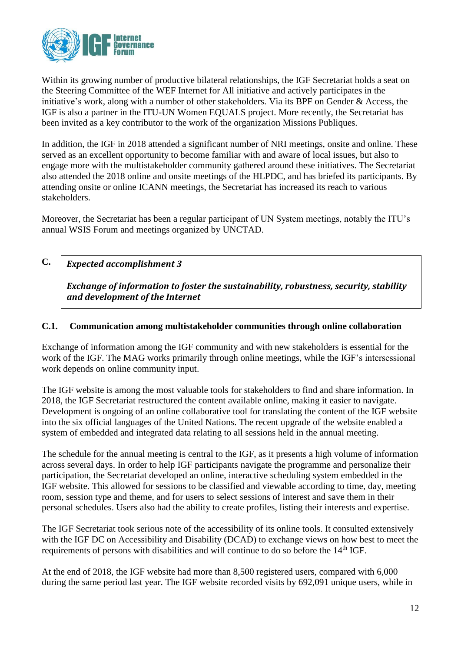

Within its growing number of productive bilateral relationships, the IGF Secretariat holds a seat on the Steering Committee of the WEF Internet for All initiative and actively participates in the initiative's work, along with a number of other stakeholders. Via its BPF on Gender & Access, the IGF is also a partner in the ITU-UN Women EQUALS project. More recently, the Secretariat has been invited as a key contributor to the work of the organization Missions Publiques.

In addition, the IGF in 2018 attended a significant number of NRI meetings, onsite and online. These served as an excellent opportunity to become familiar with and aware of local issues, but also to engage more with the multistakeholder community gathered around these initiatives. The Secretariat also attended the 2018 online and onsite meetings of the HLPDC, and has briefed its participants. By attending onsite or online ICANN meetings, the Secretariat has increased its reach to various stakeholders.

Moreover, the Secretariat has been a regular participant of UN System meetings, notably the ITU's annual WSIS Forum and meetings organized by UNCTAD.

#### **C.** *Expected accomplishment 3*

*Exchange of information to foster the sustainability, robustness, security, stability and development of the Internet*

## **C.1. Communication among multistakeholder communities through online collaboration**

Exchange of information among the IGF community and with new stakeholders is essential for the work of the IGF. The MAG works primarily through online meetings, while the IGF's intersessional work depends on online community input.

The IGF website is among the most valuable tools for stakeholders to find and share information. In 2018, the IGF Secretariat restructured the content available online, making it easier to navigate. Development is ongoing of an online collaborative tool for translating the content of the IGF website into the six official languages of the United Nations. The recent upgrade of the website enabled a system of embedded and integrated data relating to all sessions held in the annual meeting.

The schedule for the annual meeting is central to the IGF, as it presents a high volume of information across several days. In order to help IGF participants navigate the programme and personalize their participation, the Secretariat developed an online, interactive scheduling system embedded in the IGF website. This allowed for sessions to be classified and viewable according to time, day, meeting room, session type and theme, and for users to select sessions of interest and save them in their personal schedules. Users also had the ability to create profiles, listing their interests and expertise.

The IGF Secretariat took serious note of the accessibility of its online tools. It consulted extensively with the IGF DC on Accessibility and Disability (DCAD) to exchange views on how best to meet the requirements of persons with disabilities and will continue to do so before the 14<sup>th</sup> IGF.

At the end of 2018, the IGF website had more than 8,500 registered users, compared with 6,000 during the same period last year. The IGF website recorded visits by 692,091 unique users, while in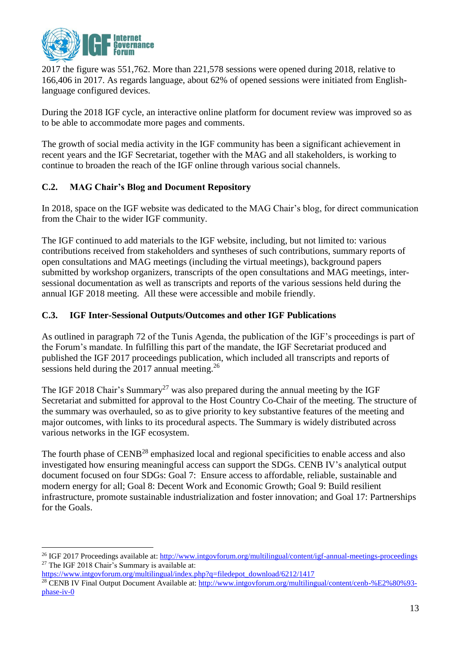

2017 the figure was 551,762. More than 221,578 sessions were opened during 2018, relative to 166,406 in 2017. As regards language, about 62% of opened sessions were initiated from Englishlanguage configured devices.

During the 2018 IGF cycle, an interactive online platform for document review was improved so as to be able to accommodate more pages and comments.

The growth of social media activity in the IGF community has been a significant achievement in recent years and the IGF Secretariat, together with the MAG and all stakeholders, is working to continue to broaden the reach of the IGF online through various social channels.

# **C.2. MAG Chair's Blog and Document Repository**

In 2018, space on the IGF website was dedicated to the MAG Chair's blog, for direct communication from the Chair to the wider IGF community.

The IGF continued to add materials to the IGF website, including, but not limited to: various contributions received from stakeholders and syntheses of such contributions, summary reports of open consultations and MAG meetings (including the virtual meetings), background papers submitted by workshop organizers, transcripts of the open consultations and MAG meetings, intersessional documentation as well as transcripts and reports of the various sessions held during the annual IGF 2018 meeting. All these were accessible and mobile friendly.

# **C.3. IGF Inter-Sessional Outputs/Outcomes and other IGF Publications**

As outlined in paragraph 72 of the Tunis Agenda, the publication of the IGF's proceedings is part of the Forum's mandate. In fulfilling this part of the mandate, the IGF Secretariat produced and published the IGF 2017 proceedings publication, which included all transcripts and reports of sessions held during the 2017 annual meeting.<sup>26</sup>

The IGF 2018 Chair's Summary<sup>27</sup> was also prepared during the annual meeting by the IGF Secretariat and submitted for approval to the Host Country Co-Chair of the meeting. The structure of the summary was overhauled, so as to give priority to key substantive features of the meeting and major outcomes, with links to its procedural aspects. The Summary is widely distributed across various networks in the IGF ecosystem.

The fourth phase of CENB<sup>28</sup> emphasized local and regional specificities to enable access and also investigated how ensuring meaningful access can support the SDGs. CENB IV's analytical output document focused on four SDGs: Goal 7: Ensure access to affordable, reliable, sustainable and modern energy for all; Goal 8: Decent Work and Economic Growth; Goal 9: Build resilient infrastructure, promote sustainable industrialization and foster innovation; and Goal 17: Partnerships for the Goals.

<u>.</u>

<sup>&</sup>lt;sup>26</sup> IGF 2017 Proceedings available at[: http://www.intgovforum.org/multilingual/content/igf-annual-meetings-proceedings](http://www.intgovforum.org/multilingual/content/igf-annual-meetings-proceedings) <sup>27</sup> The IGF 2018 Chair's Summary is available at:

[https://www.intgovforum.org/multilingual/index.php?q=filedepot\\_download/6212/1417](https://www.intgovforum.org/multilingual/index.php?q=filedepot_download/6212/1417)

<sup>&</sup>lt;sup>28</sup> CENB IV Final Output Document Available at[: http://www.intgovforum.org/multilingual/content/cenb-%E2%80%93](http://www.intgovforum.org/multilingual/content/cenb-%E2%80%93-phase-iv-0) [phase-iv-0](http://www.intgovforum.org/multilingual/content/cenb-%E2%80%93-phase-iv-0)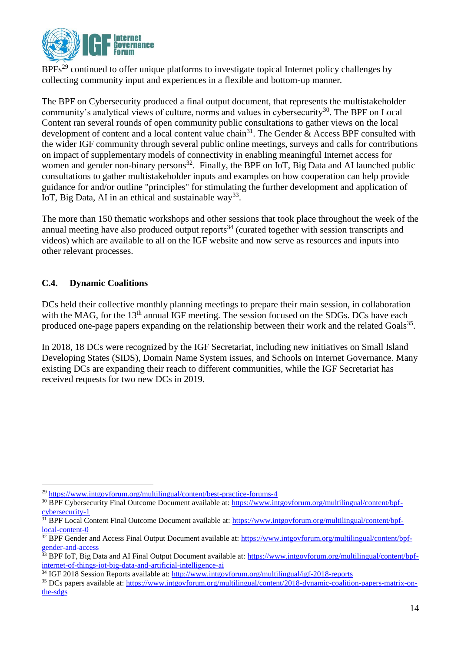

 $BPFs<sup>29</sup>$  $BPFs<sup>29</sup>$  $BPFs<sup>29</sup>$  continued to offer unique platforms to investigate topical Internet policy challenges by collecting community input and experiences in a flexible and bottom-up manner*.*

The BPF on Cybersecurity produced a final output document, that represents the multistakeholder community's analytical views of culture, norms and values in cybersecurity<sup>30</sup>. The BPF on Local Content ran several rounds of open community public consultations to gather views on the local development of content and a local content value chain<sup>31</sup>. The Gender & Access BPF consulted with the wider IGF community through several public online meetings, surveys and calls for contributions on impact of supplementary models of connectivity in enabling meaningful Internet access for women and gender non-binary persons<sup>32</sup>. Finally, the BPF on IoT, Big Data and AI launched public consultations to gather multistakeholder inputs and examples on how cooperation can help provide guidance for and/or outline "principles" for stimulating the further development and application of IoT, Big Data, AI in an ethical and sustainable way<sup>33</sup>.

The more than 150 thematic workshops and other sessions that took place throughout the week of the annual meeting have also produced output reports<sup>34</sup> (curated together with session transcripts and videos) which are available to all on the IGF website and now serve as resources and inputs into other relevant processes.

# **C.4. Dynamic Coalitions**

<u>.</u>

DCs held their collective monthly planning meetings to prepare their main session, in collaboration with the MAG, for the 13<sup>th</sup> annual IGF meeting. The session focused on the SDGs. DCs have each produced one-page papers expanding on the relationship between their work and the related Goals<sup>35</sup>.

In 2018, 18 DCs were recognized by the IGF Secretariat, including new initiatives on Small Island Developing States (SIDS), Domain Name System issues, and Schools on Internet Governance. Many existing DCs are expanding their reach to different communities, while the IGF Secretariat has received requests for two new DCs in 2019.

<sup>29</sup> <https://www.intgovforum.org/multilingual/content/best-practice-forums-4>

<sup>&</sup>lt;sup>30</sup> BPF Cybersecurity Final Outcome Document available at: [https://www.intgovforum.org/multilingual/content/bpf](https://www.intgovforum.org/multilingual/content/bpf-cybersecurity-1)[cybersecurity-1](https://www.intgovforum.org/multilingual/content/bpf-cybersecurity-1)

<sup>&</sup>lt;sup>31</sup> BPF Local Content Final Outcome Document available at: [https://www.intgovforum.org/multilingual/content/bpf](https://www.intgovforum.org/multilingual/content/bpf-local-content-0)[local-content-0](https://www.intgovforum.org/multilingual/content/bpf-local-content-0)

<sup>&</sup>lt;sup>32</sup> BPF Gender and Access Final Output Document available at: [https://www.intgovforum.org/multilingual/content/bpf](https://www.intgovforum.org/multilingual/content/bpf-gender-and-access)[gender-and-access](https://www.intgovforum.org/multilingual/content/bpf-gender-and-access)

<sup>&</sup>lt;sup>33</sup> BPF IoT, Big Data and AI Final Output Document available at: [https://www.intgovforum.org/multilingual/content/bpf](https://www.intgovforum.org/multilingual/content/bpf-internet-of-things-iot-big-data-and-artificial-intelligence-ai)[internet-of-things-iot-big-data-and-artificial-intelligence-ai](https://www.intgovforum.org/multilingual/content/bpf-internet-of-things-iot-big-data-and-artificial-intelligence-ai)

<sup>34</sup> IGF 2018 Session Reports available at:<http://www.intgovforum.org/multilingual/igf-2018-reports>

<sup>35</sup> DCs papers available at: [https://www.intgovforum.org/multilingual/content/2018-dynamic-coalition-papers-matrix-on](https://www.intgovforum.org/multilingual/content/2018-dynamic-coalition-papers-matrix-on-the-sdgs)[the-sdgs](https://www.intgovforum.org/multilingual/content/2018-dynamic-coalition-papers-matrix-on-the-sdgs)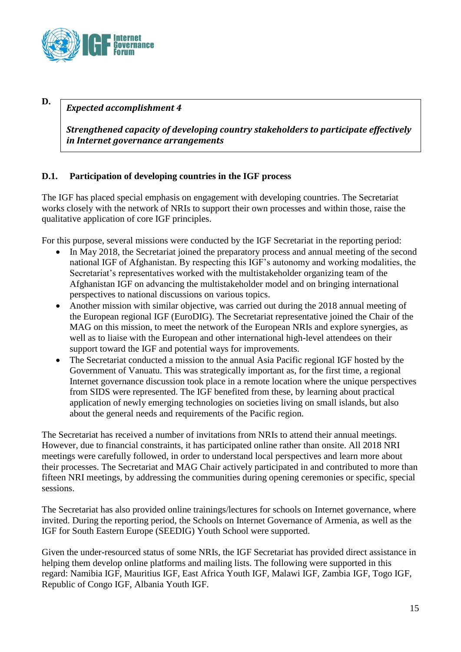

**D.**

# *Expected accomplishment 4*

*Strengthened capacity of developing country stakeholders to participate effectively in Internet governance arrangements*

# **D.1. Participation of developing countries in the IGF process**

The IGF has placed special emphasis on engagement with developing countries. The Secretariat works closely with the network of NRIs to support their own processes and within those, raise the qualitative application of core IGF principles.

For this purpose, several missions were conducted by the IGF Secretariat in the reporting period:

- In May 2018, the Secretariat joined the preparatory process and annual meeting of the second national IGF of Afghanistan. By respecting this IGF's autonomy and working modalities, the Secretariat's representatives worked with the multistakeholder organizing team of the Afghanistan IGF on advancing the multistakeholder model and on bringing international perspectives to national discussions on various topics.
- Another mission with similar objective, was carried out during the 2018 annual meeting of the European regional IGF (EuroDIG). The Secretariat representative joined the Chair of the MAG on this mission, to meet the network of the European NRIs and explore synergies, as well as to liaise with the European and other international high-level attendees on their support toward the IGF and potential ways for improvements.
- The Secretariat conducted a mission to the annual Asia Pacific regional IGF hosted by the Government of Vanuatu. This was strategically important as, for the first time, a regional Internet governance discussion took place in a remote location where the unique perspectives from SIDS were represented. The IGF benefited from these, by learning about practical application of newly emerging technologies on societies living on small islands, but also about the general needs and requirements of the Pacific region.

The Secretariat has received a number of invitations from NRIs to attend their annual meetings. However, due to financial constraints, it has participated online rather than onsite. All 2018 NRI meetings were carefully followed, in order to understand local perspectives and learn more about their processes. The Secretariat and MAG Chair actively participated in and contributed to more than fifteen NRI meetings, by addressing the communities during opening ceremonies or specific, special sessions.

The Secretariat has also provided online trainings/lectures for schools on Internet governance, where invited. During the reporting period, the Schools on Internet Governance of Armenia, as well as the IGF for South Eastern Europe (SEEDIG) Youth School were supported.

Given the under-resourced status of some NRIs, the IGF Secretariat has provided direct assistance in helping them develop online platforms and mailing lists. The following were supported in this regard: Namibia IGF, Mauritius IGF, East Africa Youth IGF, Malawi IGF, Zambia IGF, Togo IGF, Republic of Congo IGF, Albania Youth IGF.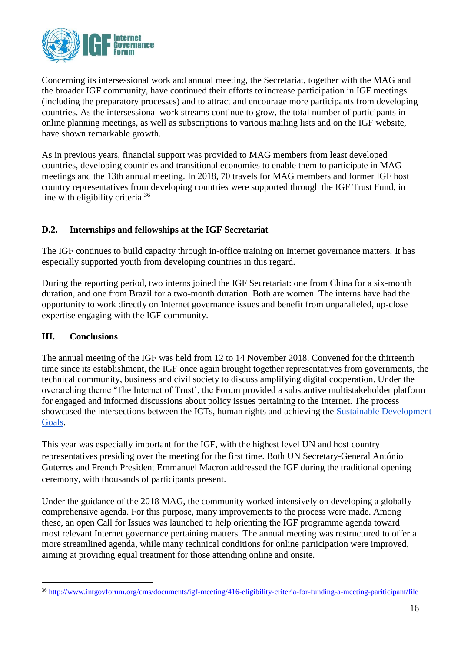

Concerning its intersessional work and annual meeting, the Secretariat, together with the MAG and the broader IGF community, have continued their efforts to increase participation in IGF meetings (including the preparatory processes) and to attract and encourage more participants from developing countries. As the intersessional work streams continue to grow, the total number of participants in online planning meetings, as well as subscriptions to various mailing lists and on the IGF website, have shown remarkable growth.

As in previous years, financial support was provided to MAG members from least developed countries, developing countries and transitional economies to enable them to participate in MAG meetings and the 13th annual meeting. In 2018, 70 travels for MAG members and former IGF host country representatives from developing countries were supported through the IGF Trust Fund, in line with eligibility criteria.<sup>36</sup>

# **D.2. Internships and fellowships at the IGF Secretariat**

The IGF continues to build capacity through in-office training on Internet governance matters. It has especially supported youth from developing countries in this regard.

During the reporting period, two interns joined the IGF Secretariat: one from China for a six-month duration, and one from Brazil for a two-month duration. Both are women. The interns have had the opportunity to work directly on Internet governance issues and benefit from unparalleled, up-close expertise engaging with the IGF community.

### **III. Conclusions**

The annual meeting of the IGF was held from 12 to 14 November 2018. Convened for the thirteenth time since its establishment, the IGF once again brought together representatives from governments, the technical community, business and civil society to discuss amplifying digital cooperation. Under the overarching theme 'The Internet of Trust', the Forum provided a substantive multistakeholder platform for engaged and informed discussions about policy issues pertaining to the Internet. The process showcased the intersections between the ICTs, human rights and achieving the [Sustainable Development](https://sustainabledevelopment.un.org/sdgs)  [Goals.](https://sustainabledevelopment.un.org/sdgs)

This year was especially important for the IGF, with the highest level UN and host country representatives presiding over the meeting for the first time. Both UN Secretary-General António Guterres and French President Emmanuel Macron addressed the IGF during the traditional opening ceremony, with thousands of participants present.

Under the guidance of the 2018 MAG, the community worked intensively on developing a globally comprehensive agenda. For this purpose, many improvements to the process were made. Among these, an open Call for Issues was launched to help orienting the IGF programme agenda toward most relevant Internet governance pertaining matters. The annual meeting was restructured to offer a more streamlined agenda, while many technical conditions for online participation were improved, aiming at providing equal treatment for those attending online and onsite.

<sup>1</sup> <sup>36</sup> <http://www.intgovforum.org/cms/documents/igf-meeting/416-eligibility-criteria-for-funding-a-meeting-pariticipant/file>